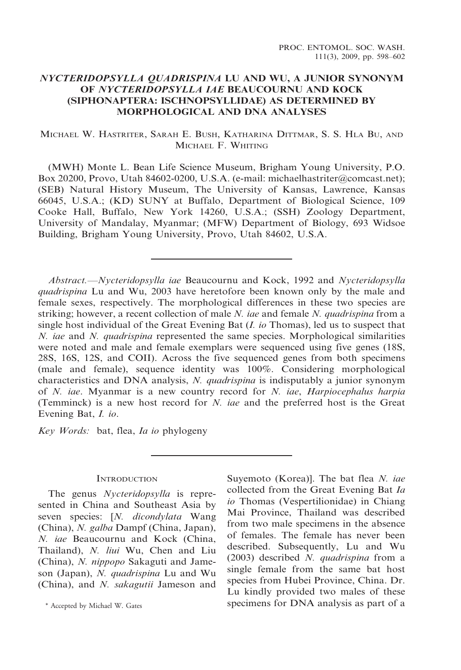# NYCTERIDOPSYLLA QUADRISPINA LU AND WU, A JUNIOR SYNONYM OF NYCTERIDOPSYLLA IAE BEAUCOURNU AND KOCK (SIPHONAPTERA: ISCHNOPSYLLIDAE) AS DETERMINED BY MORPHOLOGICAL AND DNA ANALYSES

## MICHAEL W. HASTRITER, SARAH E. BUSH, KATHARINA DITTMAR, S. S. HLA BU, AND MICHAEL F. WHITING

(MWH) Monte L. Bean Life Science Museum, Brigham Young University, P.O. Box 20200, Provo, Utah 84602-0200, U.S.A. (e-mail: michaelhastriter@comcast.net); (SEB) Natural History Museum, The University of Kansas, Lawrence, Kansas 66045, U.S.A.; (KD) SUNY at Buffalo, Department of Biological Science, 109 Cooke Hall, Buffalo, New York 14260, U.S.A.; (SSH) Zoology Department, University of Mandalay, Myanmar; (MFW) Department of Biology, 693 Widsoe Building, Brigham Young University, Provo, Utah 84602, U.S.A.

Abstract.—Nycteridopsylla iae Beaucournu and Kock, 1992 and Nycteridopsylla quadrispina Lu and Wu, 2003 have heretofore been known only by the male and female sexes, respectively. The morphological differences in these two species are striking; however, a recent collection of male N. iae and female N. quadrispina from a single host individual of the Great Evening Bat  $(I.$  io Thomas), led us to suspect that N. iae and N. quadrispina represented the same species. Morphological similarities were noted and male and female exemplars were sequenced using five genes (18S, 28S, 16S, 12S, and COII). Across the five sequenced genes from both specimens (male and female), sequence identity was 100%. Considering morphological characteristics and DNA analysis, *N. quadrispina* is indisputably a junior synonym of N. iae. Myanmar is a new country record for N. iae, Harpiocephalus harpia (Temminck) is a new host record for N. iae and the preferred host is the Great Evening Bat, I. io.

Key Words: bat, flea, Ia io phylogeny

### **INTRODUCTION**

The genus Nycteridopsylla is represented in China and Southeast Asia by seven species: [N. dicondylata Wang (China), N. galba Dampf (China, Japan), N. iae Beaucournu and Kock (China, Thailand), N. liui Wu, Chen and Liu (China), N. nippopo Sakaguti and Jameson (Japan), N. quadrispina Lu and Wu (China), and N. sakagutii Jameson and

Suyemoto (Korea)]. The bat flea N. iae collected from the Great Evening Bat Ia io Thomas (Vespertilionidae) in Chiang Mai Province, Thailand was described from two male specimens in the absence of females. The female has never been described. Subsequently, Lu and Wu (2003) described N. quadrispina from a single female from the same bat host species from Hubei Province, China. Dr. Lu kindly provided two males of these \* Accepted by Michael W. Gates specimens for DNA analysis as part of a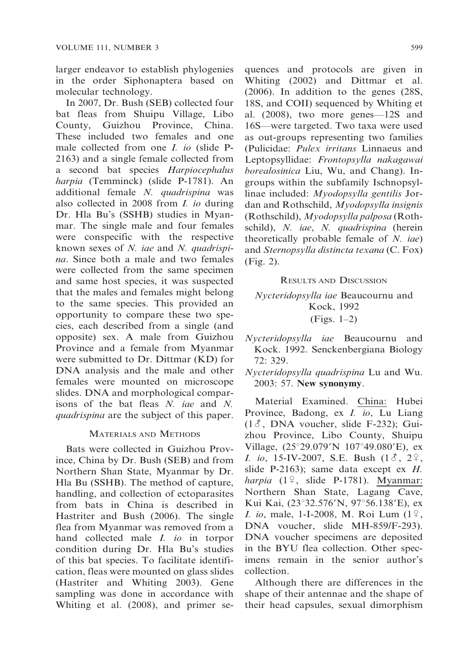larger endeavor to establish phylogenies in the order Siphonaptera based on molecular technology.

In 2007, Dr. Bush (SEB) collected four bat fleas from Shuipu Village, Libo County, Guizhou Province, China. These included two females and one male collected from one I. io (slide P-2163) and a single female collected from a second bat species Harpiocephalus harpia (Temminck) (slide P-1781). An additional female N. quadrispina was also collected in 2008 from I. io during Dr. Hla Bu's (SSHB) studies in Myanmar. The single male and four females were conspecific with the respective known sexes of N. iae and N. quadrispina. Since both a male and two females were collected from the same specimen and same host species, it was suspected that the males and females might belong to the same species. This provided an opportunity to compare these two species, each described from a single (and opposite) sex. A male from Guizhou Province and a female from Myanmar were submitted to Dr. Dittmar (KD) for DNA analysis and the male and other females were mounted on microscope slides. DNA and morphological comparisons of the bat fleas N. iae and N. quadrispina are the subject of this paper.

#### MATERIALS AND METHODS

Bats were collected in Guizhou Province, China by Dr. Bush (SEB) and from Northern Shan State, Myanmar by Dr. Hla Bu (SSHB). The method of capture, handling, and collection of ectoparasites from bats in China is described in Hastriter and Bush (2006). The single flea from Myanmar was removed from a hand collected male *I. io* in torpor condition during Dr. Hla Bu's studies of this bat species. To facilitate identification, fleas were mounted on glass slides (Hastriter and Whiting 2003). Gene sampling was done in accordance with Whiting et al. (2008), and primer sequences and protocols are given in Whiting (2002) and Dittmar et al. (2006). In addition to the genes (28S, 18S, and COII) sequenced by Whiting et al. (2008), two more genes—12S and 16S—were targeted. Two taxa were used as out-groups representing two families (Pulicidae: Pulex irritans Linnaeus and Leptopsyllidae: Frontopsylla nakagawai borealosinica Liu, Wu, and Chang). Ingroups within the subfamily Ischnopsyllinae included: Myodopsylla gentilis Jordan and Rothschild, Myodopsylla insignis (Rothschild), Myodopsylla palposa (Rothschild), N. iae, N. quadrispina (herein theoretically probable female of N. iae) and Sternopsylla distincta texana (C. Fox) (Fig. 2).

#### RESULTS AND DISCUSSION

Nycteridopsylla iae Beaucournu and Kock, 1992 (Figs. 1–2)

- Nycteridopsylla iae Beaucournu and Kock. 1992. Senckenbergiana Biology 72: 329.
- Nycteridopsylla quadrispina Lu and Wu. 2003: 57. New synonymy.

Material Examined. China: Hubei Province, Badong, ex I. io, Lu Liang  $(1\delta, \text{DNA vouter}, \text{slide F-232});$  Guizhou Province, Libo County, Shuipu Village,  $(25^{\circ}29.079^{\prime}N \ 107^{\circ}49.080^{\prime}E)$ , ex *I. io*, 15-IV-2007, S.E. Bush  $(1\delta, 2^{\circ})$ , slide P-2163); same data except ex H. harpia  $(1^{\circ}$ , slide P-1781). Myanmar: Northern Shan State, Lagang Cave, Kui Kai, (23°32.576'N, 97°56.138'E), ex *I. io*, male, 1-I-2008, M. Roi Lum  $(1^{\circ}$ , DNA voucher, slide MH-859/F-293). DNA voucher specimens are deposited in the BYU flea collection. Other specimens remain in the senior author's collection.

Although there are differences in the shape of their antennae and the shape of their head capsules, sexual dimorphism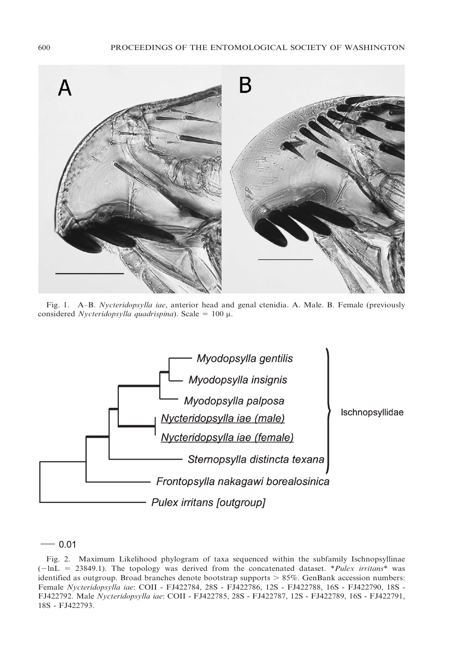

Fig. 1. A–B. Nycteridopsylla iae, anterior head and genal ctenidia. A. Male. B. Female (previously considered Nycteridopsylla quadrispina). Scale =  $100 \mu$ .



 $-0.01$ 

Fig. 2. Maximum Likelihood phylogram of taxa sequenced within the subfamily Ischnopsyllinae  $(-\ln L = 23849.1)$ . The topology was derived from the concatenated dataset. \**Pulex irritans*\* was identified as outgroup. Broad branches denote bootstrap supports  $> 85\%$ . GenBank accession numbers: Female Nycteridopsylla iae: COII - FJ422784, 28S - FJ422786, 12S - FJ422788, 16S - FJ422790, 18S - FJ422792. Male Nycteridopsylla iae: COII - FJ422785, 28S - FJ422787, 12S - FJ422789, 16S - FJ422791, 18S - FJ422793.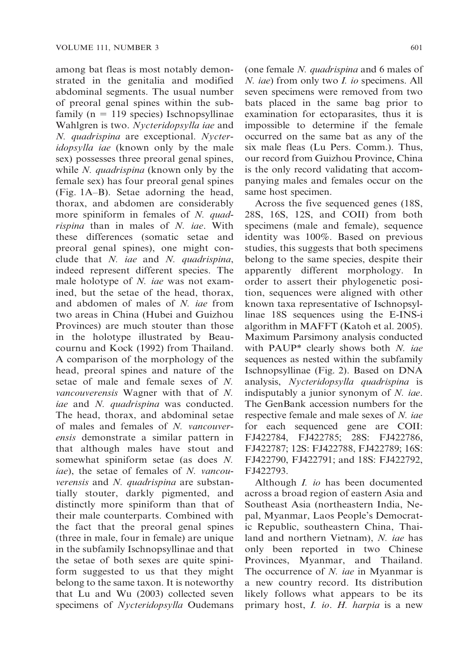among bat fleas is most notably demonstrated in the genitalia and modified abdominal segments. The usual number of preoral genal spines within the subfamily ( $n = 119$  species) Ischnopsyllinae Wahlgren is two. Nycteridopsylla iae and N. quadrispina are exceptional. Nycteridopsylla iae (known only by the male sex) possesses three preoral genal spines, while *N. quadrispina* (known only by the female sex) has four preoral genal spines (Fig. 1A–B). Setae adorning the head, thorax, and abdomen are considerably more spiniform in females of N. quadrispina than in males of N. iae. With these differences (somatic setae and preoral genal spines), one might conclude that N. iae and N. quadrispina, indeed represent different species. The male holotype of N. *iae* was not examined, but the setae of the head, thorax, and abdomen of males of N. iae from two areas in China (Hubei and Guizhou Provinces) are much stouter than those in the holotype illustrated by Beaucournu and Kock (1992) from Thailand. A comparison of the morphology of the head, preoral spines and nature of the setae of male and female sexes of N. vancouverensis Wagner with that of N. iae and N. quadrispina was conducted. The head, thorax, and abdominal setae of males and females of N. vancouverensis demonstrate a similar pattern in that although males have stout and somewhat spiniform setae (as does N. iae), the setae of females of N. vancouverensis and N. quadrispina are substantially stouter, darkly pigmented, and distinctly more spiniform than that of their male counterparts. Combined with the fact that the preoral genal spines (three in male, four in female) are unique in the subfamily Ischnopsyllinae and that the setae of both sexes are quite spiniform suggested to us that they might belong to the same taxon. It is noteworthy that Lu and Wu (2003) collected seven specimens of Nycteridopsylla Oudemans

(one female N. quadrispina and 6 males of N. iae) from only two *I. io* specimens. All seven specimens were removed from two bats placed in the same bag prior to examination for ectoparasites, thus it is impossible to determine if the female occurred on the same bat as any of the six male fleas (Lu Pers. Comm.). Thus, our record from Guizhou Province, China is the only record validating that accompanying males and females occur on the same host specimen.

Across the five sequenced genes (18S, 28S, 16S, 12S, and COII) from both specimens (male and female), sequence identity was 100%. Based on previous studies, this suggests that both specimens belong to the same species, despite their apparently different morphology. In order to assert their phylogenetic position, sequences were aligned with other known taxa representative of Ischnopsyllinae 18S sequences using the E-INS-i algorithm in MAFFT (Katoh et al. 2005). Maximum Parsimony analysis conducted with PAUP $*$  clearly shows both N. iae sequences as nested within the subfamily Ischnopsyllinae (Fig. 2). Based on DNA analysis, Nycteridopsylla quadrispina is indisputably a junior synonym of N. iae. The GenBank accession numbers for the respective female and male sexes of N. *iae* for each sequenced gene are COII: FJ422784, FJ422785; 28S: FJ422786, FJ422787; 12S: FJ422788, FJ422789; 16S: FJ422790, FJ422791; and 18S: FJ422792, FJ422793.

Although I. io has been documented across a broad region of eastern Asia and Southeast Asia (northeastern India, Nepal, Myanmar, Laos People's Democratic Republic, southeastern China, Thailand and northern Vietnam), N. iae has only been reported in two Chinese Provinces, Myanmar, and Thailand. The occurrence of N. iae in Myanmar is a new country record. Its distribution likely follows what appears to be its primary host, *I. io. H. harpia* is a new